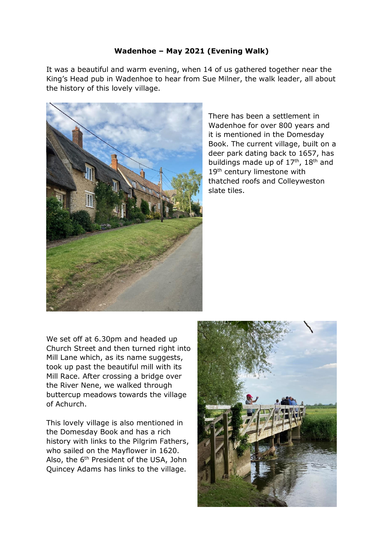## **Wadenhoe – May 2021 (Evening Walk)**

It was a beautiful and warm evening, when 14 of us gathered together near the King's Head pub in Wadenhoe to hear from Sue Milner, the walk leader, all about the history of this lovely village.



There has been a settlement in Wadenhoe for over 800 years and it is mentioned in the Domesday Book. The current village, built on a deer park dating back to 1657, has buildings made up of 17<sup>th</sup>, 18<sup>th</sup> and 19<sup>th</sup> century limestone with thatched roofs and Colleyweston slate tiles.

We set off at 6.30pm and headed up Church Street and then turned right into Mill Lane which, as its name suggests, took up past the beautiful mill with its Mill Race. After crossing a bridge over the River Nene, we walked through buttercup meadows towards the village of Achurch.

This lovely village is also mentioned in the Domesday Book and has a rich history with links to the Pilgrim Fathers, who sailed on the Mayflower in 1620. Also, the 6<sup>th</sup> President of the USA, John Quincey Adams has links to the village.

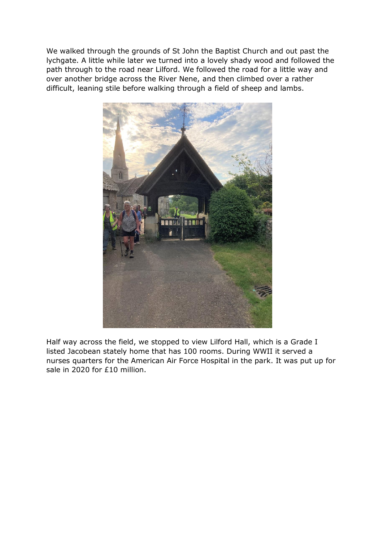We walked through the grounds of St John the Baptist Church and out past the lychgate. A little while later we turned into a lovely shady wood and followed the path through to the road near Lilford. We followed the road for a little way and over another bridge across the River Nene, and then climbed over a rather difficult, leaning stile before walking through a field of sheep and lambs.



Half way across the field, we stopped to view Lilford Hall, which is a Grade I listed Jacobean stately home that has 100 rooms. During WWII it served a nurses quarters for the American Air Force Hospital in the park. It was put up for sale in 2020 for £10 million.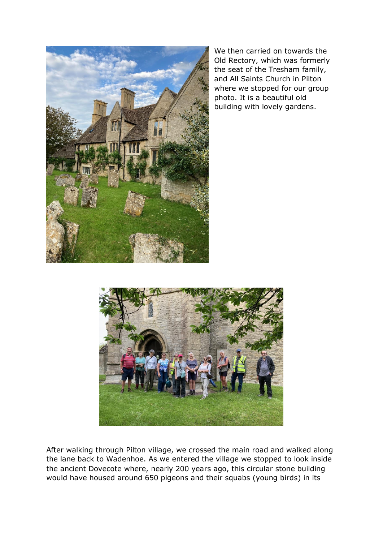

We then carried on towards the Old Rectory, which was formerly the seat of the Tresham family, and All Saints Church in Pilton where we stopped for our group photo. It is a beautiful old building with lovely gardens.



After walking through Pilton village, we crossed the main road and walked along the lane back to Wadenhoe. As we entered the village we stopped to look inside the ancient Dovecote where, nearly 200 years ago, this circular stone building would have housed around 650 pigeons and their squabs (young birds) in its